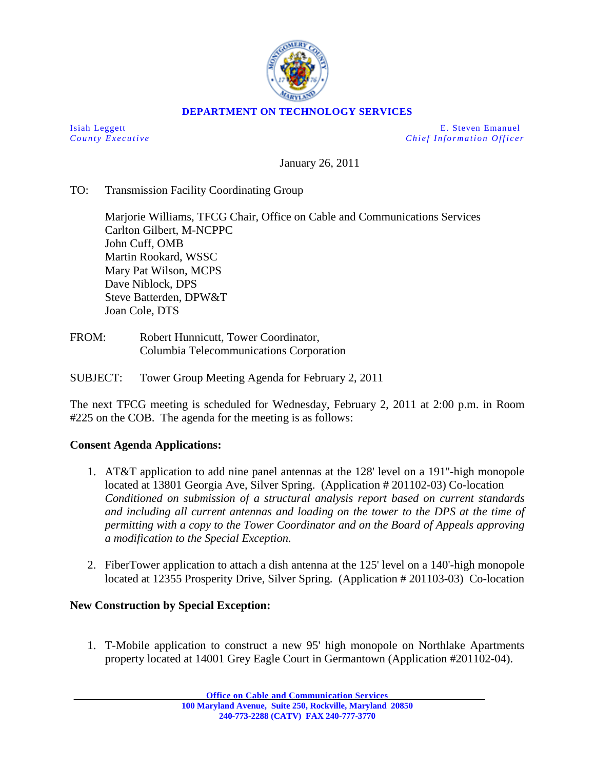

## **DEPARTMENT ON TECHNOLOGY SERVICES**

Isiah Leggett E. Steven Emanuel *County Executive Chief Information O fficer*

January 26, 2011

## TO: Transmission Facility Coordinating Group

Marjorie Williams, TFCG Chair, Office on Cable and Communications Services Carlton Gilbert, M-NCPPC John Cuff, OMB Martin Rookard, WSSC Mary Pat Wilson, MCPS Dave Niblock, DPS Steve Batterden, DPW&T Joan Cole, DTS

FROM: Robert Hunnicutt, Tower Coordinator, Columbia Telecommunications Corporation

SUBJECT: Tower Group Meeting Agenda for February 2, 2011

The next TFCG meeting is scheduled for Wednesday, February 2, 2011 at 2:00 p.m. in Room #225 on the COB. The agenda for the meeting is as follows:

## **Consent Agenda Applications:**

- 1. AT&T application to add nine panel antennas at the 128' level on a 191''-high monopole located at 13801 Georgia Ave, Silver Spring. (Application # 201102-03) Co-location *Conditioned on submission of a structural analysis report based on current standards and including all current antennas and loading on the tower to the DPS at the time of permitting with a copy to the Tower Coordinator and on the Board of Appeals approving a modification to the Special Exception.*
- 2. FiberTower application to attach a dish antenna at the 125' level on a 140'-high monopole located at 12355 Prosperity Drive, Silver Spring. (Application # 201103-03) Co-location

## **New Construction by Special Exception:**

1. T-Mobile application to construct a new 95' high monopole on Northlake Apartments property located at 14001 Grey Eagle Court in Germantown (Application #201102-04).